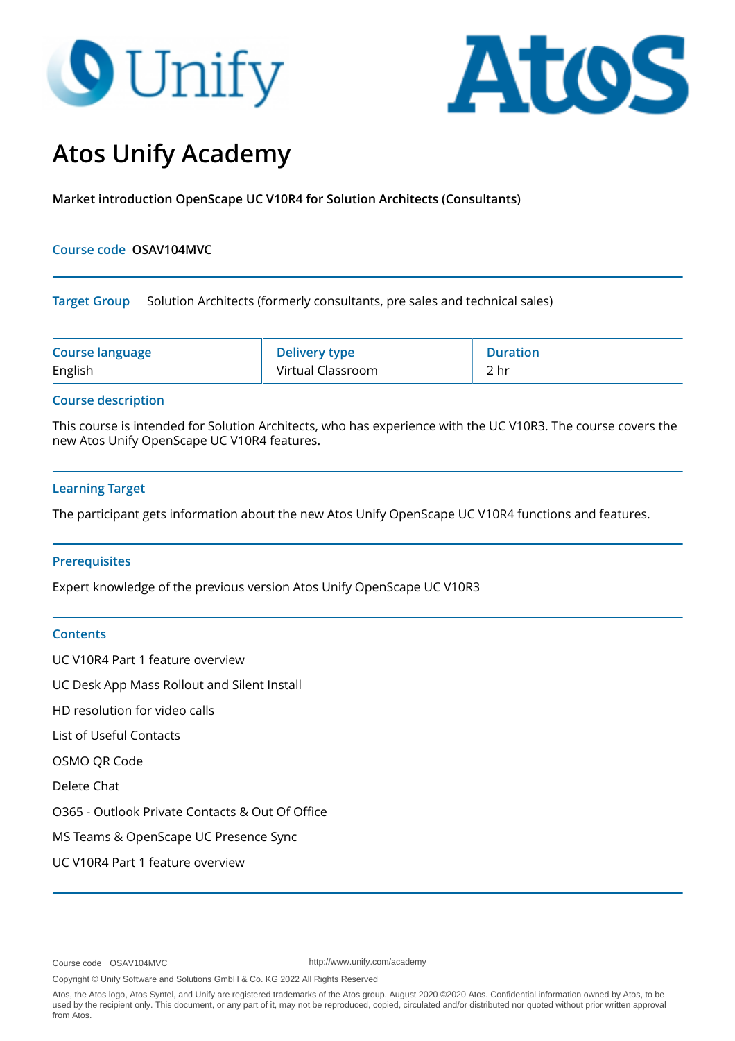# **O** Unify



# **Atos Unify Academy**

**Market introduction OpenScape UC V10R4 for Solution Architects (Consultants)**

#### **Course code OSAV104MVC**

**Target Group** Solution Architects (formerly consultants, pre sales and technical sales)

| <b>Course language</b> | <b>Delivery type</b> | <b>Duration</b> |
|------------------------|----------------------|-----------------|
| English                | Virtual Classroom    | 2 hr            |

#### **Course description**

This course is intended for Solution Architects, who has experience with the UC V10R3. The course covers the new Atos Unify OpenScape UC V10R4 features.

### **Learning Target**

The participant gets information about the new Atos Unify OpenScape UC V10R4 functions and features.

#### **Prerequisites**

Expert knowledge of the previous version Atos Unify OpenScape UC V10R3

#### **Contents**

UC V10R4 Part 1 feature overview UC Desk App Mass Rollout and Silent Install HD resolution for video calls List of Useful Contacts OSMO QR Code Delete Chat O365 - Outlook Private Contacts & Out Of Office MS Teams & OpenScape UC Presence Sync UC V10R4 Part 1 feature overview

Course code OSAV104MVC

http://www.unify.com/academy

Copyright © Unify Software and Solutions GmbH & Co. KG 2022 All Rights Reserved

Atos, the Atos logo, Atos Syntel, and Unify are registered trademarks of the Atos group. August 2020 ©2020 Atos. Confidential information owned by Atos, to be used by the recipient only. This document, or any part of it, may not be reproduced, copied, circulated and/or distributed nor quoted without prior written approval from Atos.